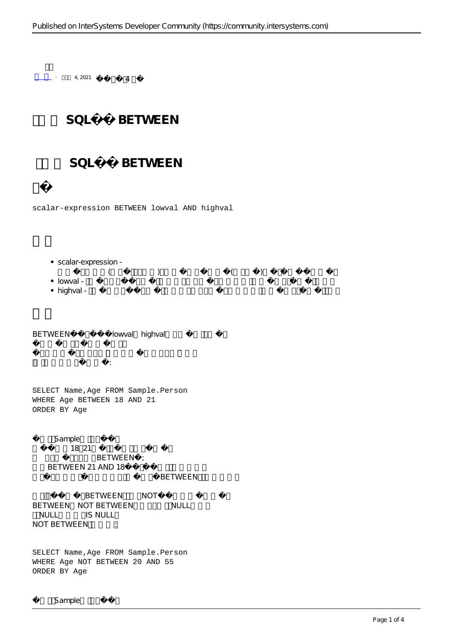$-$  4, 2021 4 SOL BETWEEN SQL BETWEEN scalar-expression BETWEEN lowval AND highval scalar-expression -  $($  and  $($  and  $($  and  $($  and  $($  and  $($ lowval - experiments who has a second control of the second control of the second control of the second control of the second control of the second control of the second control of the second control of the second control • highval -BETWEEN lowval highval 下面的例子展示了这种比较: SELECT Name,Age FROM Sample.Person WHERE Age BETWEEN 18 AND 21 ORDER BY Age Sample 18 21 BETWEEN ; BETWEEN 21 AND 18 **BETWEEN** BETWEEN NOT BETWEEN NOT BETWEEN NULL NULL IS NULL NOT BETWEEN: SELECT Name,Age FROM Sample.Person WHERE Age NOT BETWEEN 20 AND 55 ORDER BY Age

Sample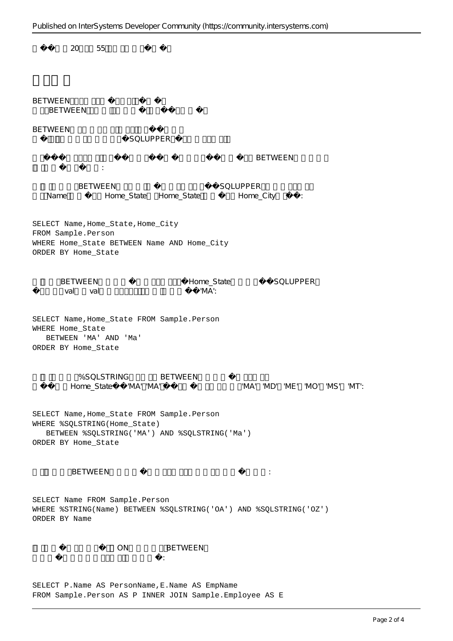年龄值小于20或大于55的人表,不包括这些值。

BETWEEN **BETWEEN** 

下面的例子说明了这一点:

BETWEEN

## **BETWEEN**

BETWEEN SQLUPPER Name Home\_State Home\_State Home\_City :

SELECT Name, Home State, Home City FROM Sample.Person WHERE Home\_State BETWEEN Name AND Home\_City ORDER BY Home\_State

> BETWEEN Home\_State SQLUPPER val val  $val$

SELECT Name,Home\_State FROM Sample.Person WHERE Home\_State BETWEEN 'MA' AND 'Ma' ORDER BY Home\_State

> %SQLSTRING BETWEEN 它选择那些Home\_State值为'MA'到'MA'的记录,在这个数据集中包括'MA', 'MD', 'ME', 'MO', 'MS'和'MT':

SELECT Name, Home State FROM Sample. Person WHERE %SQLSTRING(Home\_State) BETWEEN %SQLSTRING('MA') AND %SQLSTRING('Ma') ORDER BY Home\_State

## expediant product to the product of the product of the product of the product of the product of the product of <br>Product of the product of the product of the product of the product of the product of the product of the prod

它正在执行一个不区分大小写的字符串比较:

SELECT Name FROM Sample.Person WHERE %STRING(Name) BETWEEN %SQLSTRING('OA') AND %SQLSTRING('OZ') ORDER BY Name

ON BETWEEN

SELECT P.Name AS PersonName,E.Name AS EmpName FROM Sample.Person AS P INNER JOIN Sample.Employee AS E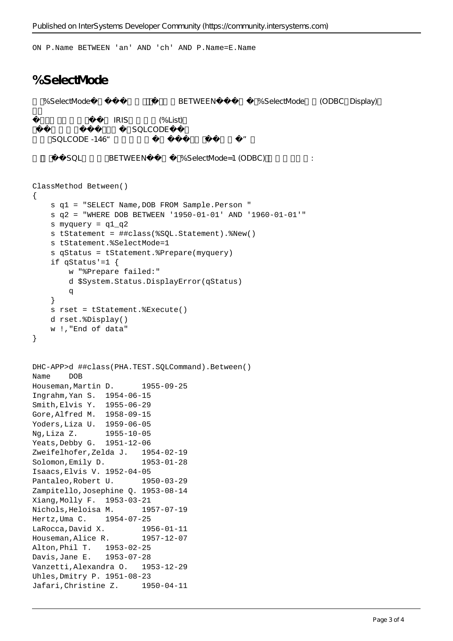ON P.Name BETWEEN 'an' AND 'ch' AND P.Name=E.Name

## **%SelectMode**

```
%SelectMode                             BETWEEN               %SelectMode   (ODBC Display)
                 IRIS (%List)
                     SQLCODE
    SOLCOMF -146"SQL BETWEEN %SelectMode=1 (ODBC)
ClassMethod Between()
{
    s q1 = "SELECT Name,DOB FROM Sample.Person "
    s q2 = "WHERE DOB BETWEEN '1950-01-01' AND '1960-01-01'"
    s myquery = q1_q2
    s tStatement = ##class(%SQL.Statement).%New()
     s tStatement.%SelectMode=1
    s qStatus = tStatement.%Prepare(myquery)
     if qStatus'=1 {
        w "%Prepare failed:" 
        d $System.Status.DisplayError(qStatus) 
q
     }
    s rset = tStatement.%Execute()
    d rset.%Display()
    w !,"End of data"
}
DHC-APP>d ##class(PHA.TEST.SQLCommand).Between()
Name DOB
Houseman, Martin D. 1955-09-25
Ingrahm,Yan S. 1954-06-15
Smith,Elvis Y. 1955-06-29
Gore,Alfred M. 1958-09-15
Yoders,Liza U. 1959-06-05
Ng,Liza Z. 1955-10-05
Yeats,Debby G. 1951-12-06
Zweifelhofer,Zelda J. 1954-02-19
Solomon,Emily D. 1953-01-28
Isaacs,Elvis V. 1952-04-05
Pantaleo,Robert U. 1950-03-29
Zampitello,Josephine Q. 1953-08-14
Xiang,Molly F. 1953-03-21
Nichols,Heloisa M. 1957-07-19
Hertz,Uma C. 1954-07-25
LaRocca,David X. 1956-01-11
Houseman,Alice R. 1957-12-07
Alton,Phil T. 1953-02-25
Davis,Jane E. 1953-07-28
Vanzetti,Alexandra O. 1953-12-29
Uhles,Dmitry P. 1951-08-23
Jafari,Christine Z. 1950-04-11
```